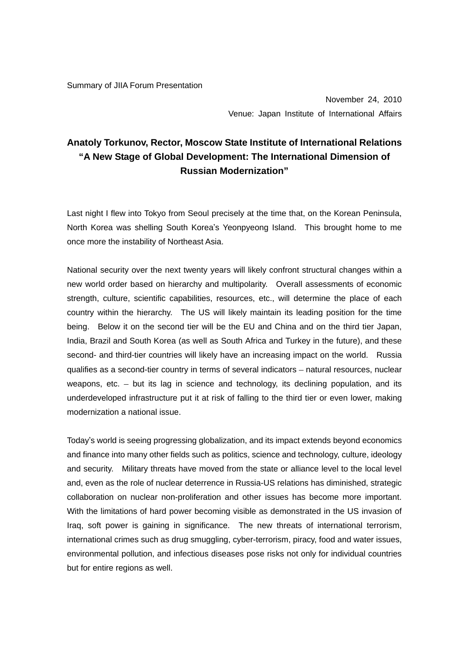Summary of JIIA Forum Presentation

November 24, 2010 Venue: Japan Institute of International Affairs

## **Anatoly Torkunov, Rector, Moscow State Institute of International Relations "A New Stage of Global Development: The International Dimension of Russian Modernization"**

Last night I flew into Tokyo from Seoul precisely at the time that, on the Korean Peninsula, North Korea was shelling South Korea's Yeonpyeong Island. This brought home to me once more the instability of Northeast Asia.

National security over the next twenty years will likely confront structural changes within a new world order based on hierarchy and multipolarity. Overall assessments of economic strength, culture, scientific capabilities, resources, etc., will determine the place of each country within the hierarchy. The US will likely maintain its leading position for the time being. Below it on the second tier will be the EU and China and on the third tier Japan, India, Brazil and South Korea (as well as South Africa and Turkey in the future), and these second- and third-tier countries will likely have an increasing impact on the world. Russia qualifies as a second-tier country in terms of several indicators – natural resources, nuclear weapons, etc. – but its lag in science and technology, its declining population, and its underdeveloped infrastructure put it at risk of falling to the third tier or even lower, making modernization a national issue.

Today's world is seeing progressing globalization, and its impact extends beyond economics and finance into many other fields such as politics, science and technology, culture, ideology and security. Military threats have moved from the state or alliance level to the local level and, even as the role of nuclear deterrence in Russia-US relations has diminished, strategic collaboration on nuclear non-proliferation and other issues has become more important. With the limitations of hard power becoming visible as demonstrated in the US invasion of Iraq, soft power is gaining in significance. The new threats of international terrorism, international crimes such as drug smuggling, cyber-terrorism, piracy, food and water issues, environmental pollution, and infectious diseases pose risks not only for individual countries but for entire regions as well.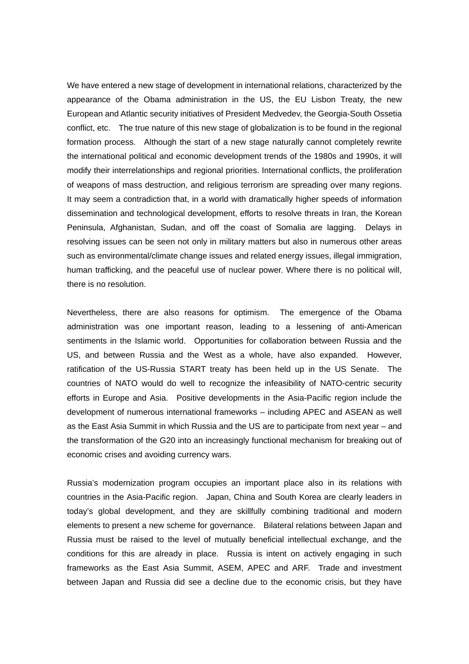We have entered a new stage of development in international relations, characterized by the appearance of the Obama administration in the US, the EU Lisbon Treaty, the new European and Atlantic security initiatives of President Medvedev, the Georgia-South Ossetia conflict, etc. The true nature of this new stage of globalization is to be found in the regional formation process. Although the start of a new stage naturally cannot completely rewrite the international political and economic development trends of the 1980s and 1990s, it will modify their interrelationships and regional priorities. International conflicts, the proliferation of weapons of mass destruction, and religious terrorism are spreading over many regions. It may seem a contradiction that, in a world with dramatically higher speeds of information dissemination and technological development, efforts to resolve threats in Iran, the Korean Peninsula, Afghanistan, Sudan, and off the coast of Somalia are lagging. Delays in resolving issues can be seen not only in military matters but also in numerous other areas such as environmental/climate change issues and related energy issues, illegal immigration, human trafficking, and the peaceful use of nuclear power. Where there is no political will, there is no resolution.

Nevertheless, there are also reasons for optimism. The emergence of the Obama administration was one important reason, leading to a lessening of anti-American sentiments in the Islamic world. Opportunities for collaboration between Russia and the US, and between Russia and the West as a whole, have also expanded. However, ratification of the US-Russia START treaty has been held up in the US Senate. The countries of NATO would do well to recognize the infeasibility of NATO-centric security efforts in Europe and Asia. Positive developments in the Asia-Pacific region include the development of numerous international frameworks – including APEC and ASEAN as well as the East Asia Summit in which Russia and the US are to participate from next year – and the transformation of the G20 into an increasingly functional mechanism for breaking out of economic crises and avoiding currency wars.

Russia's modernization program occupies an important place also in its relations with countries in the Asia-Pacific region. Japan, China and South Korea are clearly leaders in today's global development, and they are skillfully combining traditional and modern elements to present a new scheme for governance. Bilateral relations between Japan and Russia must be raised to the level of mutually beneficial intellectual exchange, and the conditions for this are already in place. Russia is intent on actively engaging in such frameworks as the East Asia Summit, ASEM, APEC and ARF. Trade and investment between Japan and Russia did see a decline due to the economic crisis, but they have